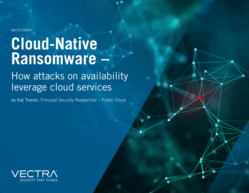WHITE PAPER

# **Cloud-Native Ransomware –**

# How attacks on availability leverage cloud services

by Kat Traxler, Principal Security Researcher – Public Cloud

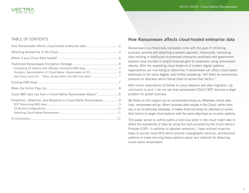

#### TABLE OF CONTENTS

| Prevention, Detection, and Response to Cloud-Native Ransomware9 |
|-----------------------------------------------------------------|
|                                                                 |
|                                                                 |
|                                                                 |
|                                                                 |

#### How Ransomware affects cloud-hosted enterprise data

Ransomware is a financially motivated crime with the goal of inhibiting business systems and obtaining a ransom payment. Historically, ransoming data residing in traditional on-premises enterprise workloads and government systems have resulted in ample financial gain for assailants using ransomware attacks. With the expanding cloud footprint of modern digital systems, organizations are now trying to determine if ransomware can affect cloud-based workloads to the same degree, and further pondering "will there be evolutionary pressure on attackers which forces them to evolve their tactics."

With recent observations of trends in cloud adoption and data migration, my conclusion is such: I do not see how ransomware COULD NOT become a larger problem for global business.

My thesis on this subject can be summarized simply as: Wherever critical data lives, ransomware will go. When business data resides in the Cloud, rather than, say, in an on-premises database, it makes financial sense for attackers to evolve their tactics to target cloud systems with the same objectives as on-prem systems.

This paper serves to outline paths a malicious actor in the cloud might take to affect the availability of data by using the tools provided by the Cloud Service Provider (CSP). In addition to attacker behaviors, I have outlined proactive steps to secure cloud APIs which provide cryptographic services, architectural patterns to make securing these systems easier and methods for detecting cloud-native ransomware.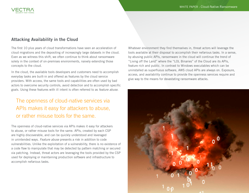# Attacking Availability in the Cloud

The first 10 plus years of cloud transformations have seen an acceleration of cloud migrations and the depositing of increasingly large datasets in the cloud. Even as we witness this shift, we often continue to think about ransomware solely in the context of on-premises environments, naively extending those concepts to the cloud.

In the cloud, the available tools developers and customers need to accomplish everyday tasks are built-in and offered as features by the cloud service providers. With access, the same tools and capabilities are often used by bad actors to overcome security controls, avoid detection and to accomplish specific goals. Using these features with ill intent is often referred to as *feature abuse*.

# The openness of cloud-native services via APIs makes it easy for attackers to abuse, or rather misuse tools for the same.

The openness of cloud-native services via APIs makes it easy for attackers to abuse, or rather misuse tools for the same. APIs, created by each CSP are highly discoverable, and can be quickly understood and leveraged in unintended ways. *Feature abuse* presents a risk in addition to code vulnerabilities. Unlike the exploitation of a vulnerability, there is no existence of a code flaw to manipulate that may be detected by pattern matching or secured via patching. Instead, threat actors are leveraging the tools provided by the CSP used for deploying or maintaining production software and infrastructure to accomplish nefarious tasks.

Whatever environment they find themselves in, threat actors will leverage the tools available at their disposal to accomplish their nefarious tasks. In a sense, by abusing public APIs, ransomware in the cloud will continue the trend of "Living off the Land" where the "LOL Binaries" of the Cloud are its APIs, feature rich and public. In contrast to Windows executables which can be uninstalled as superfluous software, AWS cloud APIs are always on. Exposure, access, and availability continue to provide the openness services require and give way to the means for devastating ransomware attacks.

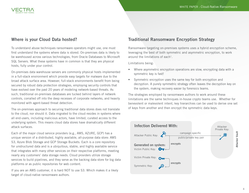

#### Where is your Cloud Data hosted?

To understand abuse techniques ransomware operators might use, one must first understand the systems where data is stored. On-premises data is likely to be warehoused across various technologies, from Oracle Databases to Microsoft SQL Servers. What these systems have in common is that they are physical hosts, fully under your control.

On-premises data warehouse servers are commonly physical hosts implemented in a full-stack environment which provide easy targets for malware due to the broad attack surface area. However, full-stack environments benefit from being secured by robust data protection strategies, employing security controls that have evolved over the past 20 years of modeling network-based threats. As such, traditional on-premises databases are tucked behind layers of network controls, corralled off into the deep recesses of corporate networks, and heavily monitored with agent-based threat detection.

The on-premises approach to securing traditional data stores does not translate to the cloud, nor should it. Data migrated to the cloud resides in systems where all end-users, including malicious actors, have limited, curated access to the underlying system. This means cloud data stores have dramatically different attack surfaces.

Each of the major cloud service providers (e.g., AWS, AZURE, GCP) has a unique version of a distributed, highly available, all-purpose data store: AWS S3, Azure Blob Storage and GCP Storage Buckets. Each is a core repository for unstructured data and is a ubiquitous, stable, and highly available service that integrates with many other services on their respective platforms, meeting nearly any customers' data storage needs. Cloud providers utilize storage services to build pipelines, and they serve as the backing data store for big data platforms or as public repositories for web content.

If you are an AWS customer, it is hard NOT to use S3. Which makes it a likely target of cloud-native ransomware authors.

#### Traditional Ransomware Encryption Strategy

Ransomware targeting on-premises systems uses a hybrid encryption scheme, leveraging the best of both symmetric and asymmetric encryption, to work around the limitations of each $1$ .

Limitations being:

- Where asymmetric encryption operations are slow, encrypting data with a symmetric key is fast!
- Symmetric encryption uses the same key for both encryption and decryption. A purely symmetric strategy often leaves the decryption key on the system, making recovery easier by forensics teams.

The strategies employed by ransomware authors to work around these limitations are the same techniques in-house crypto teams use. Whether for benevolent or malevolent intent, key hierarchies can be used to derive one set of keys from another and then encrypt the symmetric data keys.

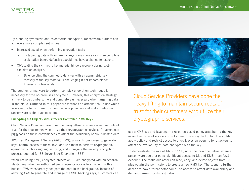

By blending symmetric and asymmetric encryption, ransomware authors can achieve a more complex set of goals.

- Increased speed when performing encryption tasks
	- > By targeting data with symmetric keys, ransomware can often complete exploitation before defensive capabilities have a chance to respond.
- Obfuscating the symmetric key material hinders recovery during postexploitation analysis.
	- > By encrypting the symmetric data key with an asymmetric key, recovery of the key material is challenging if not impossible for forensics professionals.

The creation of malware to perform complex encryption techniques is necessary for the on-premises encrypters. However, this encryption strategy is likely to be cumbersome and completely unnecessary when targeting data in the cloud. Outlined in this paper are methods an attacker could use which leverage the tools offered by cloud service providers and make traditional ransomware techniques obsolete.

#### Encrypting S3 Objects with Attacker Controlled KMS Keys

Cloud Service Providers have done the heavy lifting to maintain secure roots of trust for their customers who utilize their cryptographic services. Attackers can piggyback on these conveniences to affect the availability of cloud-hosted data.

AWS Key Management Service (AWS KMS), allows its customers to generate keys, control access to those keys, and use them to perform cryptographic operations such as signing, verifying, and managing the envelop encryption process required for S3 Server-Side Encryption (SSE).

When not using KMS, encrypted objects on S3 are encrypted with an Amazon-Master key. When an authorized party requests access to an object in this bucket, AWS transparently decrypts the data in the background. Instead of allowing AWS to generate and manage the SSE backing keys, customers can



Cloud Service Providers have done the heavy lifting to maintain secure roots of trust for their customers who utilize their cryptographic services.

use a KMS key and leverage the resource-based policy attached to the key as another layer of access control around the encrypted data. The ability to apply policy and restrict access to a key leaves an opening for attackers to affect the availability of data encrypted with the key.

To demonstrate the role of KMS in SSE, note scenario one below, where a ransomware operator gains significant access to S3 and KMS in an AWS Account. The malicious actor can read, copy, and delete objects from S3 plus obtain the permissions to create a new KMS key. The scenario further describes how a threat actor could use access to affect data availability and demand ransom for its restoration.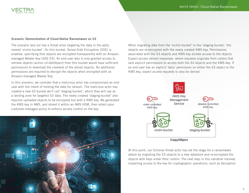

#### Scenario: Demonstration of Cloud-Native Ransomware on S3

The scenario laid out has a threat actor targeting the data in the aptly named 'victim-bucket'. On this bucket, Server-Side Encryption (SSE) is enabled, specifying that objects are encrypted transparently with an Amazonmanaged Master Key (SSE-S3). An end-user who is only granted access to retrieve objects (action s3:GetObject) from this bucket would have sufficient permissions to download the cleartext of the stored objects. No additional permissions are required to decrypt the objects when encrypted with an Amazon-managed Master Key.

In this scenario, we consider that a malicious actor has compromised an enduser with the intent of holding the data for ransom. The malicious actor has created a new S3 bucket we'll call 'staging-bucket', which they will use as a landing zone for targeted S3 data. The newly created 'staging-bucket' also requires uploaded objects to be encrypted but with a KMS key. We generated the KMS key in AWS, and stored it within an AWS HSM, then relied upon customer-managed policy to enforce access control on the key.



When migrating data from the 'victim-bucket' to the 'staging-bucket,' the objects are re-encrypted with the newly created KMS key. Permissions associated with the S3 objects and KMS key dictate access to the objects. Expect access denied responses where requests originate from callers that lack explicit permissions to access both the S3 objects and the KMS key. If an end-user has an explicit 'deny' permission on either the S3 object or the KMS key, expect access requests to also be denied.



At this point, our fictional threat actor has set the stage for a ransomware attack by migrating the S3 objects to a new datastore and re-encrypted the objects with keys under their control. The next step in this narrative involves impacting access to the key for cryptographic operations, such as decryption.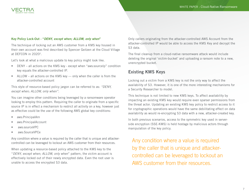#### Key Policy Lock-Out - "*DENY, except when; ALLOW, only when*"

The technique of locking out an AWS customer from a KMS key housed in their own account was first described by Spencer Geitzen at the Cloud Village at DEFCON in 20202.

Let's look at what a malicious update to key policy might look like.

- DENY all actions on the KMS key except when "aws:sourceIp" condition key equals the attacker-controlled IP.
- ALLOW all actions on the KMS key only when the caller is from the attacker-controlled account

This style of resource-based policy jargon can be referred to as: *"DENY, except when; ALLOW, only when"*.

You can imagine other conditions being leveraged by a ransomware operator looking to employ this pattern. Requiring the caller to originate from a specific source IP is in effect a mechanism to restrict all activity on a key, however just as effective could be the use of the following AWS global key conditions:

- aws: PrincipalArn
- aws: Principal Account
- aws:sourceVPC
- aws:SourceVPCe

Any condition where a value is required by the caller that is unique and attackercontrolled can be leveraged to lockout an AWS customer from their resources.

When updating a resource-based policy attached to the KMS key to the "*DENY, except when; ALLOW, only when*" pattern, the victim account is effectively locked out of their newly encrypted data. Even the root user is unable to access the encrypted S3 data.

Only callers originating from the attacker-controlled AWS Account from the attacker-controlled IP would be able to access the KMS Key and decrypt the S3 data.

The final cleanup from a cloud-native ransomware attack would include deleting the original 'victim-bucket' and uploading a ransom note to a new, unencrypted bucket.

# Existing KMS Keys

Locking out a victim from a KMS key is not the only way to affect the availability of S3. However, it is one of the more interesting mechanisms for a Security Researcher to model.

This technique is not limited to new KMS keys. To affect availability by impacting an existing KMS key would require even sparser permissions from the threat actor. Updating an existing KMS key policy to restrict access to it for cryptographic operations would have the same debilitating effect on data availability as would re-encrypting S3 data with a new, attacker-created key.

In both previous scenarios, access to the symmetric key used in serverside encryption (SSE-KMS) is held hostage by malicious actors through manipulation of the key policy.

Any condition where a value is required by the caller that is unique and attackercontrolled can be leveraged to lockout an AWS customer from their resources.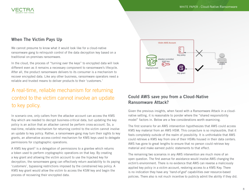

# When The Victim Pays Up

We cannot presume to know what it would look like for a cloud-native ransomware gang to relinquish control of the data decryption key based on a traditional on-premises ransomware.

In the cloud, the process of "turning over the keys" to encrypted data will look different even as it remains a necessary component to ransomware's lifecycle. After all, the product ransomware delivers to its consumer is a mechanism to recover encrypted data. Like any other business, ransomware operators need a reliable and trusted means to deliver products to their 'customers.'

# A real-time, reliable mechanism for returning control to the victim cannot involve an update to key policy.

In scenario one, only callers from the attacker account can access the KMS Key which are needed to decrypt business-critical data, but updating the key policy is an action that an attacker cannot be perform cross-account. So, a real-time, reliable mechanism for returning control to the victim cannot involve an update to key policy. Rather, a ransomware gang may turn their sights to key grants, an alternative access-control mechanism for KMS keys used to delegate permissions for cryptographic operations.

A KMS key grant<sup>3</sup> is a delegation of permissions to a grantee which returns a token used to perform cryptographic operations on that key. By creating a key grant and allowing the victim account to use the hijacked key for decryption, the ransomware gang can effectively return availability to its paying 'customers', bypassing restrictions imposed by the constrained key policy. A KMS key grant would allow the victim to access the KSM key and begin the process of recovering their encrypted data.



# Could AWS save you from a Cloud-Native Ransomware Attack?

Given the previous insights, when faced with a Ransomware Attack in a cloudnative setting, it is reasonable to ponder where the "shared responsibility model" factors in. Below are a few considerations worth examining.

The first scenario for an AWS intervention hypothesizes that AWS could access KMS key material from an AWS HSM. This conjecture is so implausible, that it feels completely outside of the realm of possibility. It is unthinkable that AWS could retrieve a KMS key from one of their HSMs housed in their data centers. AWS has gone to great lengths to ensure that no person could retrieve key material and make earnest public statements to that effect.

The remaining two scenarios in any AWS intervention are much more of an open question. The first avenue for assistance would involve AWS changing the victim's environment. There is no evidence that AWS can reverse a maliciously applied key policy in a victim account, restoring access to a KMS Key. There is no indication they have any '*hand-of-god*' capabilities over resource-based policies. There also is not much incentive to publicly admit the ability if they did.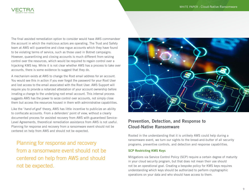

The final assisted remediation option to consider would have AWS commandeer the account in which the malicious actors are operating. The Trust and Safety team at AWS will quarantine and close rogue accounts which they have found to be violating terms of service, such as those used in Botnet campaigns. However, quarantining and closing accounts is much different from seizing control over the resources, which would be required to regain control over a hijacking KMS key. While it is not clear whether AWS has a process to take over accounts, there is some evidence to suggest that they do.

A mechanism exists at AWS to change the Root email address for an account. You would see this in action if you ever forgot the password for your Root User and lost access to the email associated with the Root User. AWS Support will require you to provide a notarized attestation of your account ownership before innating a change to the underlying root email account. This internal process suggests AWS has the power to seize control over accounts, not simply close them but access the resources housed in them with administrative capabilities.

Like the '*hand-of-god*' theory, AWS has little incentive to publicize an ability to confiscate accounts. From a defenders' point of view, without a clearly documented process for assisted recovery from AWS with guaranteed Service-Level Agreements, theoretical remediation assistance from AWS is not useful. Planning for response and recovery from a ransomware event should not be centered on help from AWS and should not be expected.

Planning for response and recovery from a ransomware event should not be centered on help from AWS and should not be expected.



### Prevention, Detection, and Response to Cloud-Native Ransomware

Rooted in the understanding that it is unlikely AWS could help during a ransomware event, we turn our sights to the bread-and-butter of all security programs, preventive controls, and detection and response capabilities.

#### SCP Restricting KMS Keys

Mitigations via Service Control Policy (SCP) require a certain degree of maturity in your cloud security program, but that does not mean their use should not be an operational goal. Creating a bespoke policy for KMS keys requires understanding which keys should be authorized to perform cryptographic operations on your data and who should have access to them.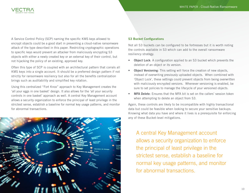

A Service Control Policy (SCP) naming the specific KMS keys allowed to encrypt objects could be a good start in preventing a cloud-native ransomware attack of the type described in this paper. Restricting cryptographic operations to specific keys would prevent an attacker from maliciously encrypting S3 objects with either a newly created key or an external key of their control, but not hijacking the policy of an existing, approved key.

Often this type of SCP is coupled with an architectural pattern that corrals all KMS keys into a single account. It should be a preferred design pattern if not strictly for ransomware resiliency but also for all the benefits centralization brings such as auditability and simplified key rotation.

Using this centralized "Fort Knox" approach to Key Management creates the 'all your eggs in one basket' design. It also allows for the 'all your security controls in one basket' approach as well. A central Key Management account allows a security organization to enforce the principal of least privilege in the strictest sense, establish a baseline for normal key usage patterns, and monitor for abnormal transactions.



#### S3 Bucket Configurations

Not all S3 buckets can be configured to be fortresses but it is worth noting the controls available in S3 which can add to the overall ransomware resiliency strategy.

- Object Lock: A configuration applied to an S3 bucket which prevents the deletion of an object or its version.
- **Object Versioning:** This setting will force the creation of new objects, instead of overwriting previously uploaded objects. When combined with 'Object Lock', these settings could prevent objects from being overwritten with maliciously encrypted versions. Whenever versioning is enabled, be sure to set policies to manage the lifecycle of your versioned objects.
- MFA Delete: Ensures that the MFA bit is set on the callers' session token when attempting to delete an object from S3.

Again, these controls are likely to be incompatible with highly transactional data but could be feasible when looking to secure your sensitive backups. Knowing what data you have and where it lives is a prerequisite for enforcing any of these Bucket-level mitigations.

A central Key Management account allows a security organization to enforce the principal of least privilege in the strictest sense, establish a baseline for normal key usage patterns, and monitor for abnormal transactions.